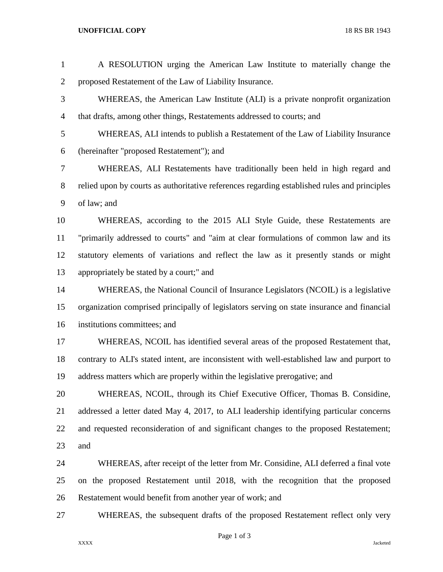## **UNOFFICIAL COPY** 18 RS BR 1943

| $\mathbf{1}$   | A RESOLUTION urging the American Law Institute to materially change the                      |
|----------------|----------------------------------------------------------------------------------------------|
| $\overline{2}$ | proposed Restatement of the Law of Liability Insurance.                                      |
| 3              | WHEREAS, the American Law Institute (ALI) is a private nonprofit organization                |
| $\overline{4}$ | that drafts, among other things, Restatements addressed to courts; and                       |
| 5              | WHEREAS, ALI intends to publish a Restatement of the Law of Liability Insurance              |
| 6              | (hereinafter "proposed Restatement"); and                                                    |
| $\tau$         | WHEREAS, ALI Restatements have traditionally been held in high regard and                    |
| $8\,$          | relied upon by courts as authoritative references regarding established rules and principles |
| 9              | of law; and                                                                                  |
| 10             | WHEREAS, according to the 2015 ALI Style Guide, these Restatements are                       |
| 11             | "primarily addressed to courts" and "aim at clear formulations of common law and its         |
| 12             | statutory elements of variations and reflect the law as it presently stands or might         |
| 13             | appropriately be stated by a court;" and                                                     |
| 14             | WHEREAS, the National Council of Insurance Legislators (NCOIL) is a legislative              |
| 15             | organization comprised principally of legislators serving on state insurance and financial   |
| 16             | institutions committees; and                                                                 |
| 17             | WHEREAS, NCOIL has identified several areas of the proposed Restatement that,                |
| 18             | contrary to ALI's stated intent, are inconsistent with well-established law and purport to   |
| 19             | address matters which are properly within the legislative prerogative; and                   |
| 20             | WHEREAS, NCOIL, through its Chief Executive Officer, Thomas B. Considine,                    |
| 21             | addressed a letter dated May 4, 2017, to ALI leadership identifying particular concerns      |
| 22             | and requested reconsideration of and significant changes to the proposed Restatement;        |
| 23             | and                                                                                          |
| 24             | WHEREAS, after receipt of the letter from Mr. Considine, ALI deferred a final vote           |
| 25             | on the proposed Restatement until 2018, with the recognition that the proposed               |
| 26             | Restatement would benefit from another year of work; and                                     |
| 27             | WHEREAS, the subsequent drafts of the proposed Restatement reflect only very                 |
|                |                                                                                              |

Page 1 of 3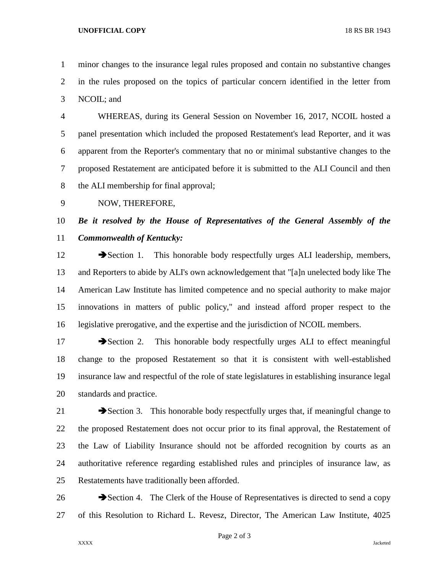## **UNOFFICIAL COPY** 18 RS BR 1943

 minor changes to the insurance legal rules proposed and contain no substantive changes in the rules proposed on the topics of particular concern identified in the letter from NCOIL; and

 WHEREAS, during its General Session on November 16, 2017, NCOIL hosted a panel presentation which included the proposed Restatement's lead Reporter, and it was apparent from the Reporter's commentary that no or minimal substantive changes to the proposed Restatement are anticipated before it is submitted to the ALI Council and then the ALI membership for final approval;

NOW, THEREFORE,

## *Be it resolved by the House of Representatives of the General Assembly of the Commonwealth of Kentucky:*

12 Section 1. This honorable body respectfully urges ALI leadership, members, and Reporters to abide by ALI's own acknowledgement that "[a]n unelected body like The American Law Institute has limited competence and no special authority to make major innovations in matters of public policy," and instead afford proper respect to the legislative prerogative, and the expertise and the jurisdiction of NCOIL members.

17 Section 2. This honorable body respectfully urges ALI to effect meaningful change to the proposed Restatement so that it is consistent with well-established insurance law and respectful of the role of state legislatures in establishing insurance legal standards and practice.

21 Section 3. This honorable body respectfully urges that, if meaningful change to the proposed Restatement does not occur prior to its final approval, the Restatement of the Law of Liability Insurance should not be afforded recognition by courts as an authoritative reference regarding established rules and principles of insurance law, as Restatements have traditionally been afforded.

26 Section 4. The Clerk of the House of Representatives is directed to send a copy of this Resolution to Richard L. Revesz, Director, The American Law Institute, 4025

Page 2 of 3